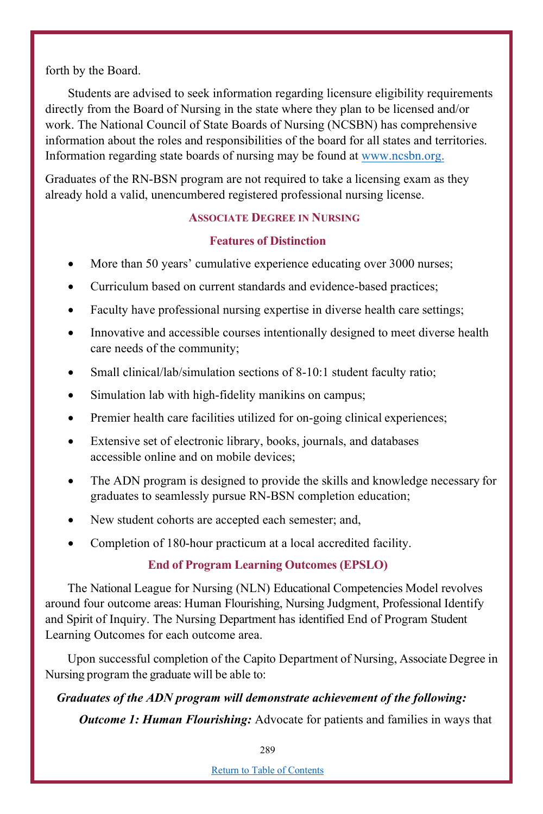forth by the Board.

Students are advised to seek information regarding licensure eligibility requirements directly from the Board of Nursing in the state where they plan to be licensed and/or work. The National Council of State Boards of Nursing (NCSBN) has comprehensive information about the roles and responsibilities of the board for all states and territories. Information regarding state boards of nursing may be found at www.ncsbn.org.

Graduates of the RN-BSN program are not required to take a licensing exam as they already hold a valid, unencumbered registered professional nursing license.

## **ASSOCIATE DEGREE IN NURSING**

## **Features of Distinction**

- More than 50 years' cumulative experience educating over 3000 nurses;
- Curriculum based on current standards and evidence-based practices;
- Faculty have professional nursing expertise in diverse health care settings;
- Innovative and accessible courses intentionally designed to meet diverse health care needs of the community;
- Small clinical/lab/simulation sections of 8-10:1 student faculty ratio;
- Simulation lab with high-fidelity manikins on campus;
- Premier health care facilities utilized for on-going clinical experiences;
- Extensive set of electronic library, books, journals, and databases accessible online and on mobile devices;
- The ADN program is designed to provide the skills and knowledge necessary for graduates to seamlessly pursue RN-BSN completion education;
- New student cohorts are accepted each semester; and,
- Completion of 180-hour practicum at a local accredited facility.

# **End of Program Learning Outcomes (EPSLO)**

The National League for Nursing (NLN) Educational Competencies Model revolves around four outcome areas: Human Flourishing, Nursing Judgment, Professional Identify and Spirit of Inquiry. The Nursing Department has identified End of Program Student Learning Outcomes for each outcome area.

Upon successful completion of the Capito Department of Nursing, Associate Degree in Nursing program the graduate will be able to:

# *Graduates of the ADN program will demonstrate achievement of the following:*

*Outcome 1: Human Flourishing:* Advocate for patients and families in ways that

289

Return to Table of Contents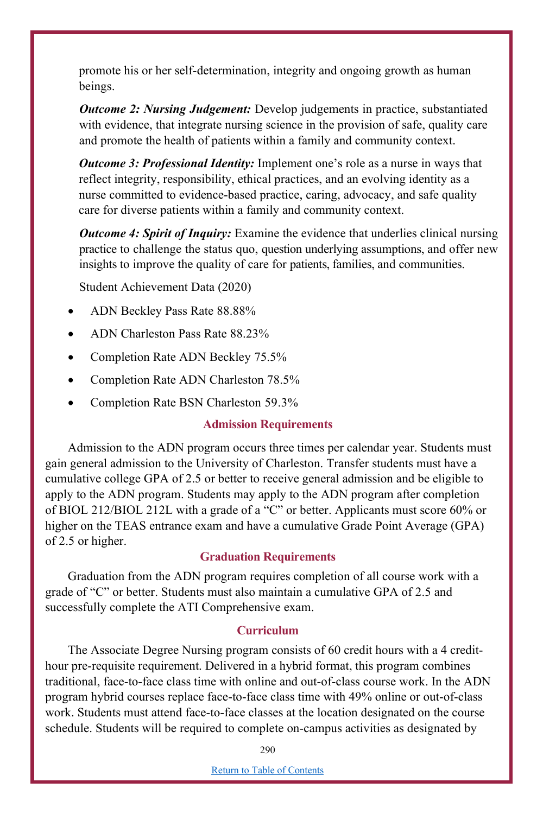promote his or her self-determination, integrity and ongoing growth as human beings.

*Outcome 2: Nursing Judgement:* Develop judgements in practice, substantiated with evidence, that integrate nursing science in the provision of safe, quality care and promote the health of patients within a family and community context.

*Outcome 3: Professional Identity:* Implement one's role as a nurse in ways that reflect integrity, responsibility, ethical practices, and an evolving identity as a nurse committed to evidence-based practice, caring, advocacy, and safe quality care for diverse patients within a family and community context.

*Outcome 4: Spirit of Inquiry:* Examine the evidence that underlies clinical nursing practice to challenge the status quo, question underlying assumptions, and offer new insights to improve the quality of care for patients, families, and communities.

Student Achievement Data (2020)

- ADN Beckley Pass Rate 88.88%
- ADN Charleston Pass Rate 88.23%
- Completion Rate ADN Beckley 75.5%
- Completion Rate ADN Charleston 78.5%
- Completion Rate BSN Charleston 59.3%

#### **Admission Requirements**

Admission to the ADN program occurs three times per calendar year. Students must gain general admission to the University of Charleston. Transfer students must have a cumulative college GPA of 2.5 or better to receive general admission and be eligible to apply to the ADN program. Students may apply to the ADN program after completion of BIOL 212/BIOL 212L with a grade of a "C" or better. Applicants must score 60% or higher on the TEAS entrance exam and have a cumulative Grade Point Average (GPA) of 2.5 or higher.

### **Graduation Requirements**

Graduation from the ADN program requires completion of all course work with a grade of "C" or better. Students must also maintain a cumulative GPA of 2.5 and successfully complete the ATI Comprehensive exam.

## **Curriculum**

The Associate Degree Nursing program consists of 60 credit hours with a 4 credithour pre-requisite requirement. Delivered in a hybrid format, this program combines traditional, face-to-face class time with online and out-of-class course work. In the ADN program hybrid courses replace face-to-face class time with 49% online or out-of-class work. Students must attend face-to-face classes at the location designated on the course schedule. Students will be required to complete on-campus activities as designated by

290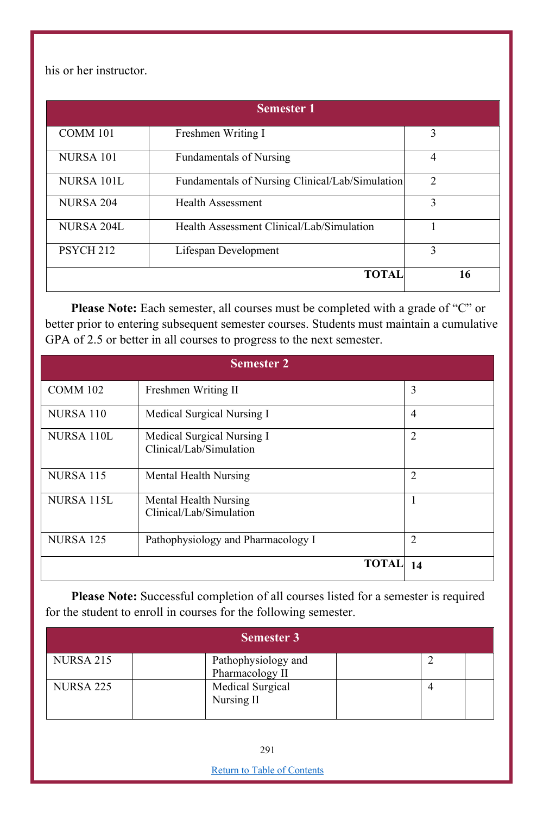his or her instructor.

| <b>Semester 1</b>    |                                                 |                |  |
|----------------------|-------------------------------------------------|----------------|--|
| COMM 101             | Freshmen Writing I                              | 3              |  |
| NURSA 101            | <b>Fundamentals of Nursing</b>                  | 4              |  |
| NURSA 101L           | Fundamentals of Nursing Clinical/Lab/Simulation | $\mathfrak{D}$ |  |
| <b>NURSA 204</b>     | Health Assessment                               | $\mathbf{3}$   |  |
| NURSA 204L           | Health Assessment Clinical/Lab/Simulation       |                |  |
| PSYCH <sub>212</sub> | Lifespan Development                            | 3              |  |
|                      | <b>TOTAL</b>                                    | 16             |  |

Please Note: Each semester, all courses must be completed with a grade of "C" or better prior to entering subsequent semester courses. Students must maintain a cumulative GPA of 2.5 or better in all courses to progress to the next semester.

| <b>Semester 2</b> |                                                       |                |  |
|-------------------|-------------------------------------------------------|----------------|--|
| <b>COMM 102</b>   | Freshmen Writing II                                   | 3              |  |
| NURSA 110         | Medical Surgical Nursing I                            | 4              |  |
| NURSA 110L        | Medical Surgical Nursing I<br>Clinical/Lab/Simulation | $\mathfrak{D}$ |  |
| <b>NURSA 115</b>  | Mental Health Nursing                                 | $\overline{c}$ |  |
| NURSA 115L        | Mental Health Nursing<br>Clinical/Lab/Simulation      |                |  |
| <b>NURSA 125</b>  | Pathophysiology and Pharmacology I                    | 2              |  |
|                   | <b>TOTAL</b>                                          | 14             |  |

**Please Note:** Successful completion of all courses listed for a semester is required for the student to enroll in courses for the following semester.

| <b>Semester 3</b> |                                        |  |  |  |
|-------------------|----------------------------------------|--|--|--|
| <b>NURSA 215</b>  | Pathophysiology and<br>Pharmacology II |  |  |  |
| <b>NURSA 225</b>  | Medical Surgical<br>Nursing II         |  |  |  |

Return to Table of Contents